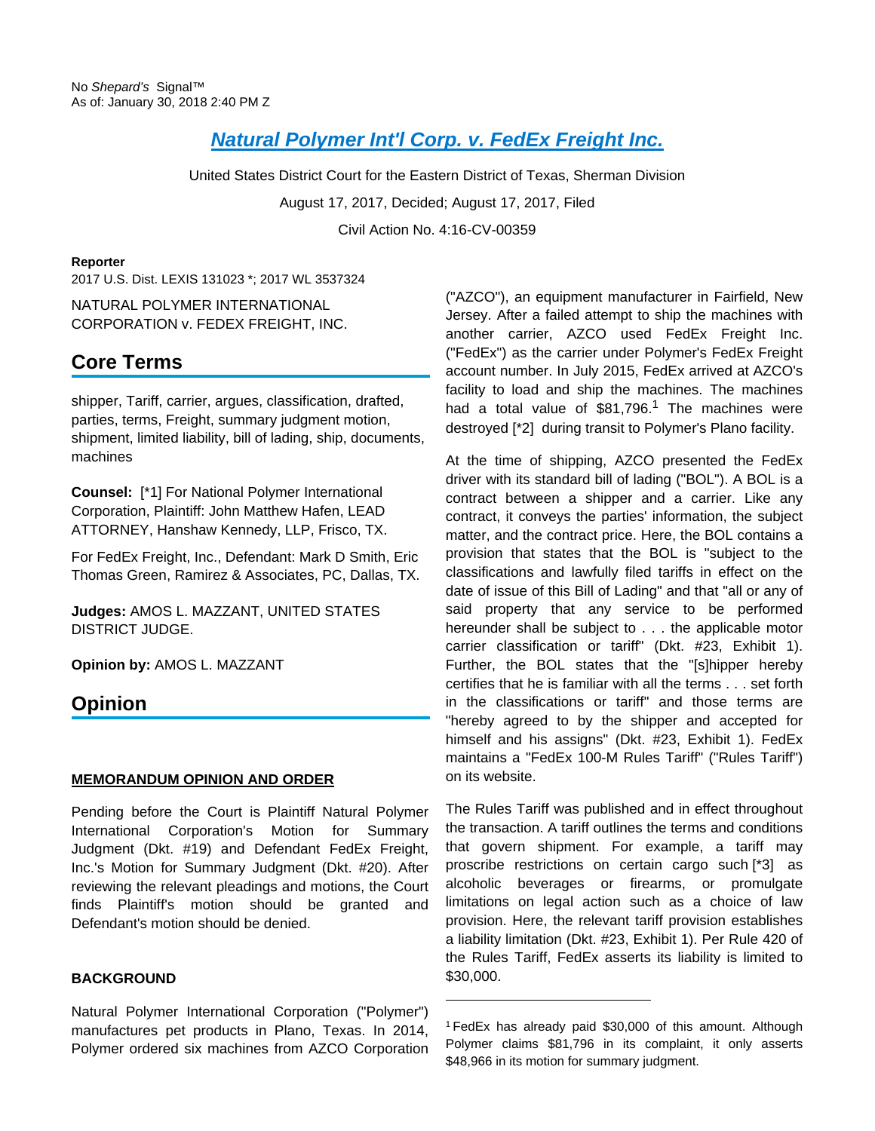# **[Natural Polymer Int'l Corp. v. FedEx Freight Inc.](https://advance.lexis.com/api/document?collection=cases&id=urn:contentItem:5P8F-1R51-F04F-C0YS-00000-00&context=)**

United States District Court for the Eastern District of Texas, Sherman Division August 17, 2017, Decided; August 17, 2017, Filed Civil Action No. 4:16-CV-00359

#### **Reporter**

2017 U.S. Dist. LEXIS 131023 \*; 2017 WL 3537324

NATURAL POLYMER INTERNATIONAL CORPORATION v. FEDEX FREIGHT, INC.

# **Core Terms**

shipper, Tariff, carrier, argues, classification, drafted, parties, terms, Freight, summary judgment motion, shipment, limited liability, bill of lading, ship, documents, machines

**Counsel:** [\*1] For National Polymer International Corporation, Plaintiff: John Matthew Hafen, LEAD ATTORNEY, Hanshaw Kennedy, LLP, Frisco, TX.

For FedEx Freight, Inc., Defendant: Mark D Smith, Eric Thomas Green, Ramirez & Associates, PC, Dallas, TX.

**Judges:** AMOS L. MAZZANT, UNITED STATES DISTRICT JUDGE.

**Opinion by:** AMOS L. MAZZANT

# **Opinion**

#### **MEMORANDUM OPINION AND ORDER**

Pending before the Court is Plaintiff Natural Polymer International Corporation's Motion for Summary Judgment (Dkt. #19) and Defendant FedEx Freight, Inc.'s Motion for Summary Judgment (Dkt. #20). After reviewing the relevant pleadings and motions, the Court finds Plaintiff's motion should be granted and Defendant's motion should be denied.

### **BACKGROUND**

Natural Polymer International Corporation ("Polymer") manufactures pet products in Plano, Texas. In 2014, Polymer ordered six machines from AZCO Corporation ("AZCO"), an equipment manufacturer in Fairfield, New Jersey. After a failed attempt to ship the machines with another carrier, AZCO used FedEx Freight Inc. ("FedEx") as the carrier under Polymer's FedEx Freight account number. In July 2015, FedEx arrived at AZCO's facility to load and ship the machines. The machines had a total value of \$81,796.<sup>1</sup> The machines were destroyed [\*2] during transit to Polymer's Plano facility.

At the time of shipping, AZCO presented the FedEx driver with its standard bill of lading ("BOL"). A BOL is a contract between a shipper and a carrier. Like any contract, it conveys the parties' information, the subject matter, and the contract price. Here, the BOL contains a provision that states that the BOL is "subject to the classifications and lawfully filed tariffs in effect on the date of issue of this Bill of Lading" and that "all or any of said property that any service to be performed hereunder shall be subject to . . . the applicable motor carrier classification or tariff" (Dkt. #23, Exhibit 1). Further, the BOL states that the "[s]hipper hereby certifies that he is familiar with all the terms . . . set forth in the classifications or tariff" and those terms are "hereby agreed to by the shipper and accepted for himself and his assigns" (Dkt. #23, Exhibit 1). FedEx maintains a "FedEx 100-M Rules Tariff" ("Rules Tariff") on its website.

The Rules Tariff was published and in effect throughout the transaction. A tariff outlines the terms and conditions that govern shipment. For example, a tariff may proscribe restrictions on certain cargo such [\*3] as alcoholic beverages or firearms, or promulgate limitations on legal action such as a choice of law provision. Here, the relevant tariff provision establishes a liability limitation (Dkt. #23, Exhibit 1). Per Rule 420 of the Rules Tariff, FedEx asserts its liability is limited to \$30,000.

<sup>1</sup>FedEx has already paid \$30,000 of this amount. Although Polymer claims \$81,796 in its complaint, it only asserts \$48,966 in its motion for summary judgment.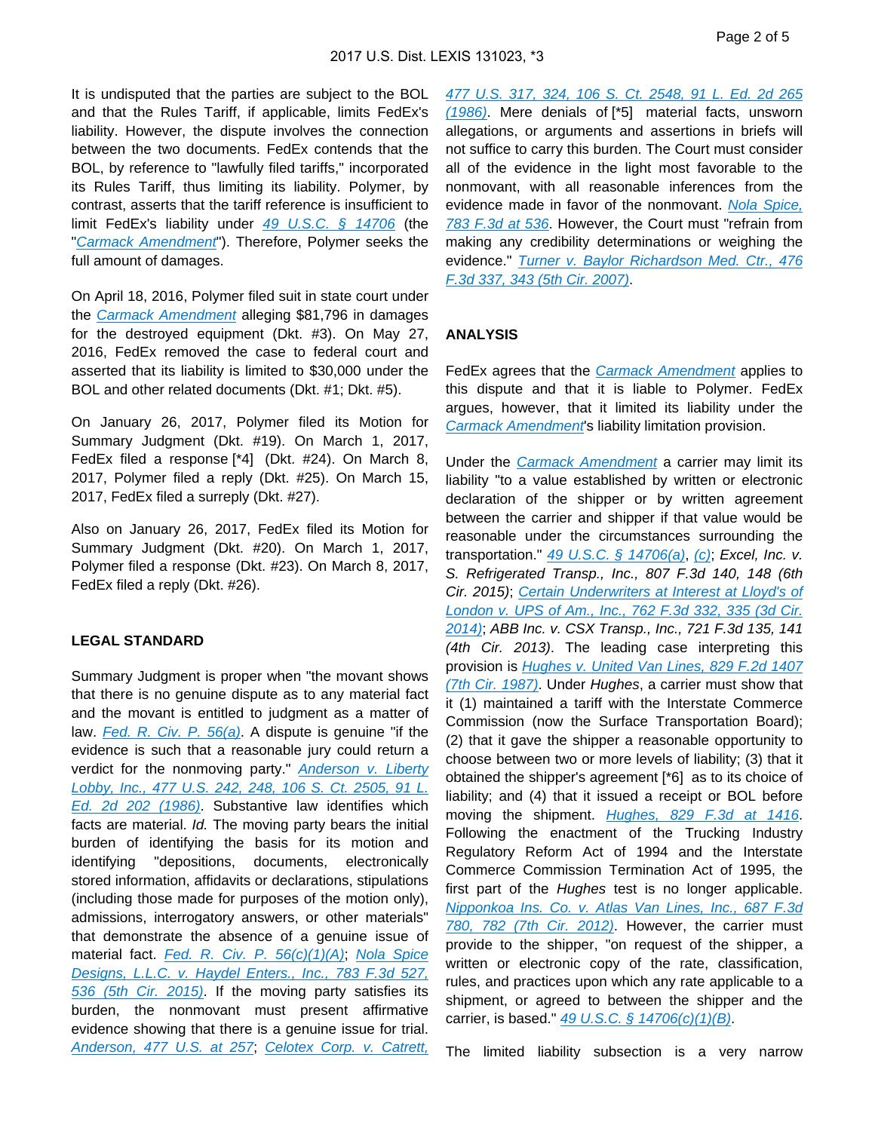It is undisputed that the parties are subject to the BOL and that the Rules Tariff, if applicable, limits FedEx's liability. However, the dispute involves the connection between the two documents. FedEx contends that the BOL, by reference to "lawfully filed tariffs," incorporated its Rules Tariff, thus limiting its liability. Polymer, by contrast, asserts that the tariff reference is insufficient to limit FedEx's liability under [49 U.S.C. § 14706](https://advance.lexis.com/api/document?collection=statutes-legislation&id=urn:contentItem:4YF7-GW11-NRF4-41J3-00000-00&context=) (the "[Carmack Amendment](https://advance.lexis.com/api/document?collection=statutes-legislation&id=urn:contentItem:4YF7-GW11-NRF4-41J3-00000-00&context=)"). Therefore, Polymer seeks the full amount of damages.

On April 18, 2016, Polymer filed suit in state court under the [Carmack Amendment](https://advance.lexis.com/api/document?collection=statutes-legislation&id=urn:contentItem:4YF7-GW11-NRF4-41J3-00000-00&context=) alleging \$81,796 in damages for the destroyed equipment (Dkt. #3). On May 27, 2016, FedEx removed the case to federal court and asserted that its liability is limited to \$30,000 under the BOL and other related documents (Dkt. #1; Dkt. #5).

On January 26, 2017, Polymer filed its Motion for Summary Judgment (Dkt. #19). On March 1, 2017, FedEx filed a response [\*4] (Dkt. #24). On March 8, 2017, Polymer filed a reply (Dkt. #25). On March 15, 2017, FedEx filed a surreply (Dkt. #27).

Also on January 26, 2017, FedEx filed its Motion for Summary Judgment (Dkt. #20). On March 1, 2017, Polymer filed a response (Dkt. #23). On March 8, 2017, FedEx filed a reply (Dkt. #26).

#### **LEGAL STANDARD**

Summary Judgment is proper when "the movant shows that there is no genuine dispute as to any material fact and the movant is entitled to judgment as a matter of law. **[Fed. R. Civ. P. 56\(a\)](https://advance.lexis.com/api/document?collection=statutes-legislation&id=urn:contentItem:5GYC-2421-6N19-F165-00000-00&context=)**. A dispute is genuine "if the evidence is such that a reasonable jury could return a verdict for the nonmoving party." Anderson v. Liberty [Lobby, Inc., 477 U.S. 242, 248, 106 S. Ct. 2505, 91 L.](https://advance.lexis.com/api/document?collection=cases&id=urn:contentItem:3S4X-6H80-0039-N37M-00000-00&context=)  [Ed. 2d 202 \(1986\)](https://advance.lexis.com/api/document?collection=cases&id=urn:contentItem:3S4X-6H80-0039-N37M-00000-00&context=). Substantive law identifies which facts are material. Id. The moving party bears the initial burden of identifying the basis for its motion and identifying "depositions, documents, electronically stored information, affidavits or declarations, stipulations (including those made for purposes of the motion only), admissions, interrogatory answers, or other materials" that demonstrate the absence of a genuine issue of material fact. [Fed. R. Civ. P. 56\(c\)\(1\)\(A\)](https://advance.lexis.com/api/document?collection=statutes-legislation&id=urn:contentItem:5GYC-2421-6N19-F165-00000-00&context=), Nola Spice Designs, L.L.C. v. Haydel Enters., Inc., 783 F.3d 527, [536 \(5th Cir. 2015\)](https://advance.lexis.com/api/document?collection=cases&id=urn:contentItem:5FPR-H4F1-F04K-N09P-00000-00&context=). If the moving party satisfies its burden, the nonmovant must present affirmative evidence showing that there is a genuine issue for trial. [Anderson, 477 U.S. at 257](https://advance.lexis.com/api/document?collection=cases&id=urn:contentItem:3S4X-6H80-0039-N37M-00000-00&context=); [Celotex Corp. v. Catrett,](https://advance.lexis.com/api/document?collection=cases&id=urn:contentItem:3S4X-6HC0-0039-N37R-00000-00&context=) 

[477 U.S. 317, 324, 106 S. Ct. 2548, 91 L. Ed. 2d 265](https://advance.lexis.com/api/document?collection=cases&id=urn:contentItem:3S4X-6HC0-0039-N37R-00000-00&context=)  [\(1986\)](https://advance.lexis.com/api/document?collection=cases&id=urn:contentItem:3S4X-6HC0-0039-N37R-00000-00&context=). Mere denials of [\*5] material facts, unsworn allegations, or arguments and assertions in briefs will not suffice to carry this burden. The Court must consider all of the evidence in the light most favorable to the nonmovant, with all reasonable inferences from the evidence made in favor of the nonmovant. Nola Spice, [783 F.3d at 536](https://advance.lexis.com/api/document?collection=cases&id=urn:contentItem:5FPR-H4F1-F04K-N09P-00000-00&context=). However, the Court must "refrain from making any credibility determinations or weighing the evidence." Turner v. Baylor Richardson Med. Ctr., 476 [F.3d 337, 343 \(5th Cir. 2007\)](https://advance.lexis.com/api/document?collection=cases&id=urn:contentItem:4MVW-R5M0-0038-X3DS-00000-00&context=).

### **ANALYSIS**

FedEx agrees that the [Carmack Amendment](https://advance.lexis.com/api/document?collection=statutes-legislation&id=urn:contentItem:4YF7-GW11-NRF4-41J3-00000-00&context=) applies to this dispute and that it is liable to Polymer. FedEx argues, however, that it limited its liability under the [Carmack Amendment](https://advance.lexis.com/api/document?collection=statutes-legislation&id=urn:contentItem:4YF7-GW11-NRF4-41J3-00000-00&context=)'s liability limitation provision.

Under the [Carmack Amendment](https://advance.lexis.com/api/document?collection=statutes-legislation&id=urn:contentItem:4YF7-GW11-NRF4-41J3-00000-00&context=) a carrier may limit its liability "to a value established by written or electronic declaration of the shipper or by written agreement between the carrier and shipper if that value would be reasonable under the circumstances surrounding the transportation."  $\frac{49 \text{ U.S.C. } \S \text{ } \frac{14706(a)}{a}$ , [\(c\)](https://advance.lexis.com/api/document?collection=statutes-legislation&id=urn:contentItem:4YF7-GW11-NRF4-41J3-00000-00&context=); Excel, Inc. v. S. Refrigerated Transp., Inc., 807 F.3d 140, 148 (6th Cir. 2015); [Certain Underwriters at Interest at Lloyd's of](https://advance.lexis.com/api/document?collection=cases&id=urn:contentItem:5CWN-4WW1-F04K-K001-00000-00&context=)  London v. UPS of Am., Inc., 762 F.3d 332, 335 (3d Cir. [2014\)](https://advance.lexis.com/api/document?collection=cases&id=urn:contentItem:5CWN-4WW1-F04K-K001-00000-00&context=); ABB Inc. v. CSX Transp., Inc., 721 F.3d 135, 141 (4th Cir. 2013). The leading case interpreting this provision is [Hughes v. United Van Lines, 829 F.2d 1407](https://advance.lexis.com/api/document?collection=cases&id=urn:contentItem:3S4X-7D90-001B-K396-00000-00&context=)  [\(7th Cir. 1987\)](https://advance.lexis.com/api/document?collection=cases&id=urn:contentItem:3S4X-7D90-001B-K396-00000-00&context=). Under Hughes, a carrier must show that it (1) maintained a tariff with the Interstate Commerce Commission (now the Surface Transportation Board); (2) that it gave the shipper a reasonable opportunity to choose between two or more levels of liability; (3) that it obtained the shipper's agreement [\*6] as to its choice of liability; and (4) that it issued a receipt or BOL before moving the shipment. [Hughes, 829 F.3d at 1416](https://advance.lexis.com/api/document?collection=cases&id=urn:contentItem:3S4X-7D90-001B-K396-00000-00&context=). Following the enactment of the Trucking Industry Regulatory Reform Act of 1994 and the Interstate Commerce Commission Termination Act of 1995, the first part of the Hughes test is no longer applicable. [Nipponkoa Ins. Co. v. Atlas Van Lines, Inc., 687 F.3d](https://advance.lexis.com/api/document?collection=cases&id=urn:contentItem:561W-5491-F04K-R0MC-00000-00&context=)  [780, 782 \(7th Cir. 2012\)](https://advance.lexis.com/api/document?collection=cases&id=urn:contentItem:561W-5491-F04K-R0MC-00000-00&context=). However, the carrier must provide to the shipper, "on request of the shipper, a written or electronic copy of the rate, classification, rules, and practices upon which any rate applicable to a shipment, or agreed to between the shipper and the carrier, is based."  $49 \text{ U.S.C.}$  §  $14706(c)(1)(B)$ .

The limited liability subsection is a very narrow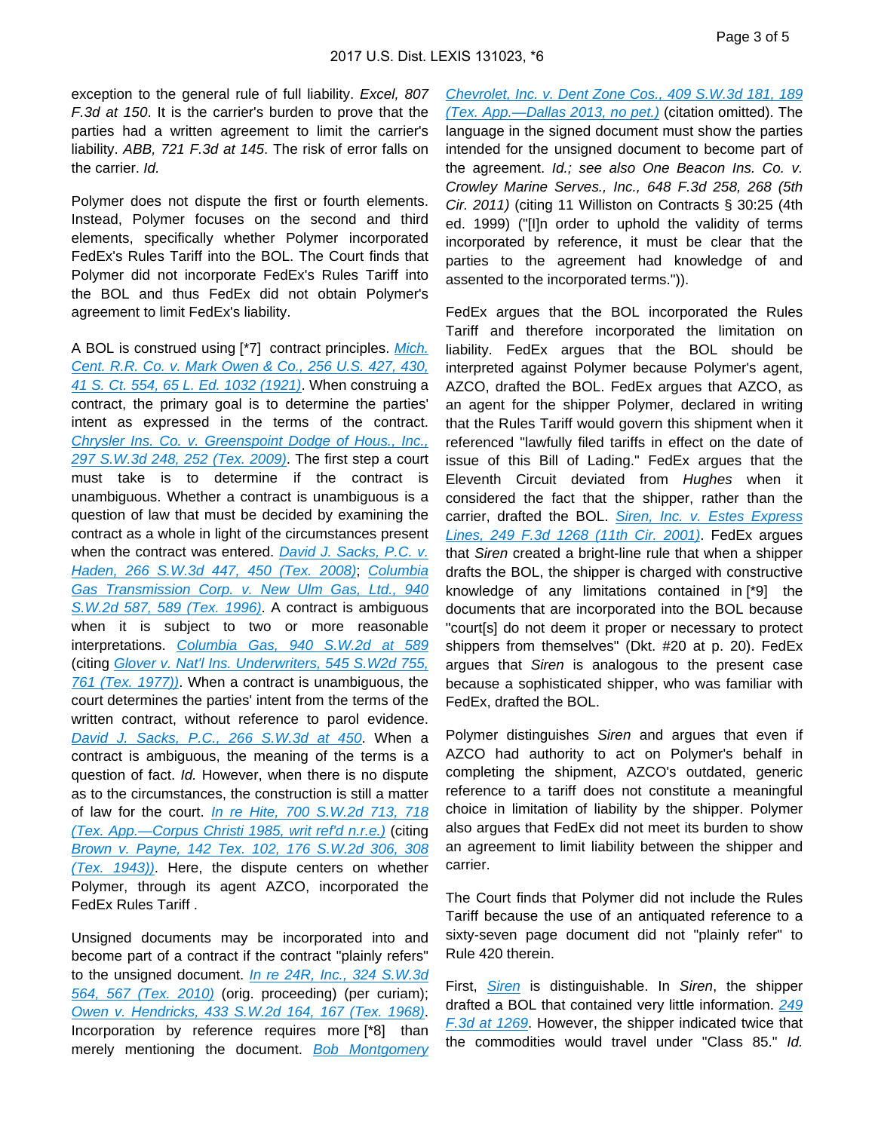exception to the general rule of full liability. Excel, 807 F.3d at 150. It is the carrier's burden to prove that the parties had a written agreement to limit the carrier's liability. ABB, 721 F.3d at 145. The risk of error falls on the carrier. Id.

Polymer does not dispute the first or fourth elements. Instead, Polymer focuses on the second and third elements, specifically whether Polymer incorporated FedEx's Rules Tariff into the BOL. The Court finds that Polymer did not incorporate FedEx's Rules Tariff into the BOL and thus FedEx did not obtain Polymer's agreement to limit FedEx's liability.

A BOL is construed using [\*7] contract principles. Mich. [Cent. R.R. Co. v. Mark Owen & Co., 256 U.S. 427, 430,](https://advance.lexis.com/api/document?collection=cases&id=urn:contentItem:3S4X-4G00-003B-H36S-00000-00&context=)  [41 S. Ct. 554, 65 L. Ed. 1032 \(1921\)](https://advance.lexis.com/api/document?collection=cases&id=urn:contentItem:3S4X-4G00-003B-H36S-00000-00&context=). When construing a contract, the primary goal is to determine the parties' intent as expressed in the terms of the contract. [Chrysler Ins. Co. v. Greenspoint Dodge of Hous., Inc.,](https://advance.lexis.com/api/document?collection=cases&id=urn:contentItem:4XK4-K7Y0-TXFX-025R-00000-00&context=)  [297 S.W.3d 248, 252 \(Tex. 2009\)](https://advance.lexis.com/api/document?collection=cases&id=urn:contentItem:4XK4-K7Y0-TXFX-025R-00000-00&context=). The first step a court must take is to determine if the contract is unambiguous. Whether a contract is unambiguous is a question of law that must be decided by examining the contract as a whole in light of the circumstances present when the contract was entered. David J. Sacks, P.C. v. [Haden, 266 S.W.3d 447, 450 \(Tex. 2008\)](https://advance.lexis.com/api/document?collection=cases&id=urn:contentItem:4TJN-RM60-TX4N-G0MC-00000-00&context=); [Columbia](https://advance.lexis.com/api/document?collection=cases&id=urn:contentItem:3RHV-4C10-003C-203Y-00000-00&context=)  Gas Transmission Corp. v. New Ulm Gas, Ltd., 940 [S.W.2d 587, 589 \(Tex. 1996\)](https://advance.lexis.com/api/document?collection=cases&id=urn:contentItem:3RHV-4C10-003C-203Y-00000-00&context=). A contract is ambiguous when it is subject to two or more reasonable interpretations. [Columbia Gas, 940 S.W.2d at 589](https://advance.lexis.com/api/document?collection=cases&id=urn:contentItem:3RHV-4C10-003C-203Y-00000-00&context=) (citing [Glover v. Nat'l Ins. Underwriters, 545 S.W2d 755,](https://advance.lexis.com/api/document?collection=cases&id=urn:contentItem:3S3J-WJH0-003C-23Y3-00000-00&context=)  [761 \(Tex. 1977\)\)](https://advance.lexis.com/api/document?collection=cases&id=urn:contentItem:3S3J-WJH0-003C-23Y3-00000-00&context=). When a contract is unambiguous, the court determines the parties' intent from the terms of the written contract, without reference to parol evidence. [David J. Sacks, P.C., 266 S.W.3d at 450](https://advance.lexis.com/api/document?collection=cases&id=urn:contentItem:4TJN-RM60-TX4N-G0MC-00000-00&context=). When a contract is ambiguous, the meaning of the terms is a question of fact. Id. However, when there is no dispute as to the circumstances, the construction is still a matter of law for the court. In re Hite, 700 S.W.2d 713, 718 [\(Tex. App.—Corpus Christi 1985, writ ref'd n.r.e.\)](https://advance.lexis.com/api/document?collection=cases&id=urn:contentItem:3S3K-4050-003C-20C8-00000-00&context=) (citing [Brown v. Payne, 142 Tex. 102, 176 S.W.2d 306, 308](https://advance.lexis.com/api/document?collection=cases&id=urn:contentItem:3RRS-HSB0-003D-P185-00000-00&context=)  [\(Tex. 1943\)\)](https://advance.lexis.com/api/document?collection=cases&id=urn:contentItem:3RRS-HSB0-003D-P185-00000-00&context=). Here, the dispute centers on whether Polymer, through its agent AZCO, incorporated the FedEx Rules Tariff .

Unsigned documents may be incorporated into and become part of a contract if the contract "plainly refers" to the unsigned document. [In re 24R, Inc., 324 S.W.3d](https://advance.lexis.com/api/document?collection=cases&id=urn:contentItem:5197-FFG1-652P-V008-00000-00&context=)  [564, 567 \(Tex. 2010\)](https://advance.lexis.com/api/document?collection=cases&id=urn:contentItem:5197-FFG1-652P-V008-00000-00&context=) (orig. proceeding) (per curiam); [Owen v. Hendricks, 433 S.W.2d 164, 167 \(Tex. 1968\)](https://advance.lexis.com/api/document?collection=cases&id=urn:contentItem:3RRH-B210-003C-5123-00000-00&context=). Incorporation by reference requires more [\*8] than merely mentioning the document. Bob Montgomery

[Chevrolet, Inc. v. Dent Zone Cos., 409 S.W.3d 181, 189](https://advance.lexis.com/api/document?collection=cases&id=urn:contentItem:592H-FM31-F04K-B03D-00000-00&context=)  [\(Tex. App.—Dallas 2013, no pet.\)](https://advance.lexis.com/api/document?collection=cases&id=urn:contentItem:592H-FM31-F04K-B03D-00000-00&context=) (citation omitted). The language in the signed document must show the parties intended for the unsigned document to become part of the agreement. Id.; see also One Beacon Ins. Co. v. Crowley Marine Serves., Inc., 648 F.3d 258, 268 (5th Cir. 2011) (citing 11 Williston on Contracts § 30:25 (4th ed. 1999) ("[I]n order to uphold the validity of terms incorporated by reference, it must be clear that the parties to the agreement had knowledge of and assented to the incorporated terms.")).

FedEx argues that the BOL incorporated the Rules Tariff and therefore incorporated the limitation on liability. FedEx argues that the BOL should be interpreted against Polymer because Polymer's agent, AZCO, drafted the BOL. FedEx argues that AZCO, as an agent for the shipper Polymer, declared in writing that the Rules Tariff would govern this shipment when it referenced "lawfully filed tariffs in effect on the date of issue of this Bill of Lading." FedEx argues that the Eleventh Circuit deviated from Hughes when it considered the fact that the shipper, rather than the carrier, drafted the BOL. Siren, Inc. v. Estes Express [Lines, 249 F.3d 1268 \(11th Cir. 2001\)](https://advance.lexis.com/api/document?collection=cases&id=urn:contentItem:42Y5-VSX0-0038-X1PG-00000-00&context=). FedEx argues that Siren created a bright-line rule that when a shipper drafts the BOL, the shipper is charged with constructive knowledge of any limitations contained in [\*9] the documents that are incorporated into the BOL because "court[s] do not deem it proper or necessary to protect shippers from themselves" (Dkt. #20 at p. 20). FedEx argues that Siren is analogous to the present case because a sophisticated shipper, who was familiar with FedEx, drafted the BOL.

Polymer distinguishes Siren and argues that even if AZCO had authority to act on Polymer's behalf in completing the shipment, AZCO's outdated, generic reference to a tariff does not constitute a meaningful choice in limitation of liability by the shipper. Polymer also argues that FedEx did not meet its burden to show an agreement to limit liability between the shipper and carrier.

The Court finds that Polymer did not include the Rules Tariff because the use of an antiquated reference to a sixty-seven page document did not "plainly refer" to Rule 420 therein.

First, *[Siren](https://advance.lexis.com/api/document?collection=cases&id=urn:contentItem:42Y5-VSX0-0038-X1PG-00000-00&context=)* is distinguishable. In Siren, the shipper drafted a BOL that contained very little information. 249 [F.3d at 1269](https://advance.lexis.com/api/document?collection=cases&id=urn:contentItem:42Y5-VSX0-0038-X1PG-00000-00&context=). However, the shipper indicated twice that the commodities would travel under "Class 85." Id.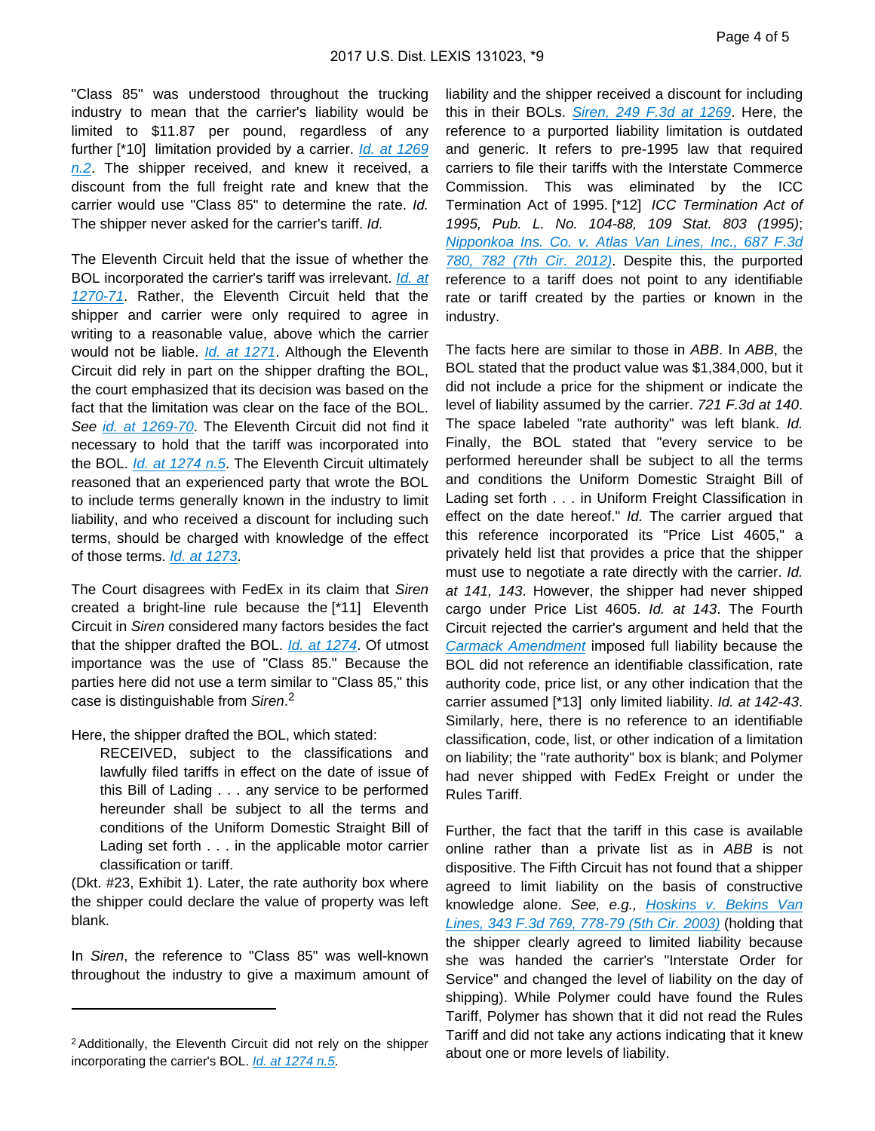"Class 85" was understood throughout the trucking industry to mean that the carrier's liability would be limited to \$11.87 per pound, regardless of any further [\*10] limitation provided by a carrier. Id. at 1269  $n.2$ . The shipper received, and knew it received, a discount from the full freight rate and knew that the carrier would use "Class 85" to determine the rate. Id. The shipper never asked for the carrier's tariff. Id.

The Eleventh Circuit held that the issue of whether the BOL incorporated the carrier's tariff was irrelevant. Id. at [1270-71](https://advance.lexis.com/api/document?collection=cases&id=urn:contentItem:42Y5-VSX0-0038-X1PG-00000-00&context=). Rather, the Eleventh Circuit held that the shipper and carrier were only required to agree in writing to a reasonable value, above which the carrier would not be liable. *[Id. at 1271](https://advance.lexis.com/api/document?collection=cases&id=urn:contentItem:42Y5-VSX0-0038-X1PG-00000-00&context=)*. Although the Eleventh Circuit did rely in part on the shipper drafting the BOL, the court emphasized that its decision was based on the fact that the limitation was clear on the face of the BOL. See *[id. at 1269-70](https://advance.lexis.com/api/document?collection=cases&id=urn:contentItem:42Y5-VSX0-0038-X1PG-00000-00&context=)*. The Eleventh Circuit did not find it necessary to hold that the tariff was incorporated into the BOL. *[Id. at 1274 n.5](https://advance.lexis.com/api/document?collection=cases&id=urn:contentItem:42Y5-VSX0-0038-X1PG-00000-00&context=)*. The Eleventh Circuit ultimately reasoned that an experienced party that wrote the BOL to include terms generally known in the industry to limit liability, and who received a discount for including such terms, should be charged with knowledge of the effect of those terms. [Id. at 1273](https://advance.lexis.com/api/document?collection=cases&id=urn:contentItem:42Y5-VSX0-0038-X1PG-00000-00&context=).

The Court disagrees with FedEx in its claim that Siren created a bright-line rule because the [\*11] Eleventh Circuit in Siren considered many factors besides the fact that the shipper drafted the BOL. [Id. at 1274](https://advance.lexis.com/api/document?collection=cases&id=urn:contentItem:42Y5-VSX0-0038-X1PG-00000-00&context=). Of utmost importance was the use of "Class 85." Because the parties here did not use a term similar to "Class 85," this case is distinguishable from Siren.<sup>2</sup>

Here, the shipper drafted the BOL, which stated:

RECEIVED, subject to the classifications and lawfully filed tariffs in effect on the date of issue of this Bill of Lading . . . any service to be performed hereunder shall be subject to all the terms and conditions of the Uniform Domestic Straight Bill of Lading set forth . . . in the applicable motor carrier classification or tariff.

(Dkt. #23, Exhibit 1). Later, the rate authority box where the shipper could declare the value of property was left blank.

In Siren, the reference to "Class 85" was well-known throughout the industry to give a maximum amount of liability and the shipper received a discount for including this in their BOLs. [Siren, 249 F.3d at 1269](https://advance.lexis.com/api/document?collection=cases&id=urn:contentItem:42Y5-VSX0-0038-X1PG-00000-00&context=). Here, the reference to a purported liability limitation is outdated and generic. It refers to pre-1995 law that required carriers to file their tariffs with the Interstate Commerce Commission. This was eliminated by the ICC Termination Act of 1995. [\*12] ICC Termination Act of 1995, Pub. L. No. 104-88, 109 Stat. 803 (1995); [Nipponkoa Ins. Co. v. Atlas Van Lines, Inc., 687 F.3d](https://advance.lexis.com/api/document?collection=cases&id=urn:contentItem:561W-5491-F04K-R0MC-00000-00&context=)  [780, 782 \(7th Cir. 2012\)](https://advance.lexis.com/api/document?collection=cases&id=urn:contentItem:561W-5491-F04K-R0MC-00000-00&context=). Despite this, the purported reference to a tariff does not point to any identifiable rate or tariff created by the parties or known in the industry.

The facts here are similar to those in ABB. In ABB, the BOL stated that the product value was \$1,384,000, but it did not include a price for the shipment or indicate the level of liability assumed by the carrier. 721 F.3d at 140. The space labeled "rate authority" was left blank. Id. Finally, the BOL stated that "every service to be performed hereunder shall be subject to all the terms and conditions the Uniform Domestic Straight Bill of Lading set forth . . . in Uniform Freight Classification in effect on the date hereof." Id. The carrier argued that this reference incorporated its "Price List 4605," a privately held list that provides a price that the shipper must use to negotiate a rate directly with the carrier. *Id.* at 141, 143. However, the shipper had never shipped cargo under Price List 4605. Id. at 143. The Fourth Circuit rejected the carrier's argument and held that the [Carmack Amendment](https://advance.lexis.com/api/document?collection=statutes-legislation&id=urn:contentItem:4YF7-GW11-NRF4-41J3-00000-00&context=) imposed full liability because the BOL did not reference an identifiable classification, rate authority code, price list, or any other indication that the carrier assumed [\*13] only limited liability. Id. at 142-43. Similarly, here, there is no reference to an identifiable classification, code, list, or other indication of a limitation on liability; the "rate authority" box is blank; and Polymer had never shipped with FedEx Freight or under the Rules Tariff.

Further, the fact that the tariff in this case is available online rather than a private list as in ABB is not dispositive. The Fifth Circuit has not found that a shipper agreed to limit liability on the basis of constructive knowledge alone. See, e.g., [Hoskins v. Bekins Van](https://advance.lexis.com/api/document?collection=cases&id=urn:contentItem:49H6-P2K0-0038-X1RS-00000-00&context=)  [Lines, 343 F.3d 769, 778-79 \(5th Cir. 2003\)](https://advance.lexis.com/api/document?collection=cases&id=urn:contentItem:49H6-P2K0-0038-X1RS-00000-00&context=) (holding that the shipper clearly agreed to limited liability because she was handed the carrier's "Interstate Order for Service" and changed the level of liability on the day of shipping). While Polymer could have found the Rules Tariff, Polymer has shown that it did not read the Rules Tariff and did not take any actions indicating that it knew about one or more levels of liability.

<sup>2</sup>Additionally, the Eleventh Circuit did not rely on the shipper incorporating the carrier's BOL. *[Id. at 1274 n.5](https://advance.lexis.com/api/document?collection=cases&id=urn:contentItem:42Y5-VSX0-0038-X1PG-00000-00&context=)*.